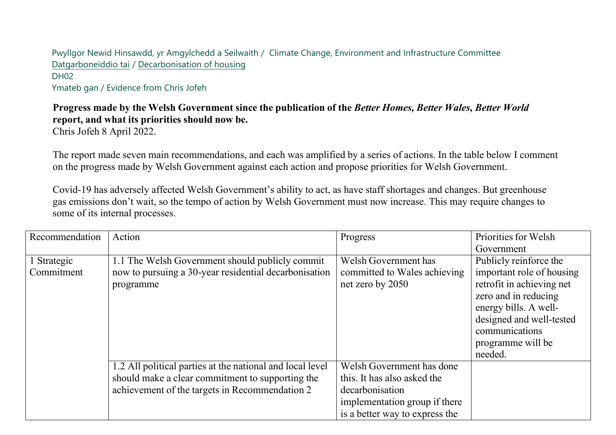Pwyllgor Newid Hinsawdd, yr Amgylchedd a Seilwaith / Climate Change, Environment and Infrastructure Committee [Datgarboneid](https://busnes.senedd.cymru/mgIssueHistoryHome.aspx?IId=39102)dio tai [/ Decarbonisation of h](https://business.senedd.wales/mgIssueHistoryHome.aspx?IId=39102)ousing DH<sub>02</sub> Ymateb gan / Evidence from Chris Jofeh

## Progress made by the Welsh Government since the publication of the Better Homes, Better Wales, Better World **report, and what its priorities should now be.**

Chris Jofeh 8 April 2022.

The report made seven main recommendations, and each was amplified by a series of actions. In the table below I comment on the progress made by Welsh Government against each action and propose priorities for Welsh Government.

Covid-19 has adversely affected Welsh Government's ability to act, as have staff shortages and changes. But greenhouse gas emissions don't wait, so the tempo of action by Welsh Government must now increase. This may require changes to some of its internal processes.

| Recommendation | Action                                                    | Progress                       | Priorities for Welsh      |
|----------------|-----------------------------------------------------------|--------------------------------|---------------------------|
|                |                                                           |                                | Government                |
| 1 Strategic    | 1.1 The Welsh Government should publicly commit           | Welsh Government has           | Publicly reinforce the    |
| Commitment     | now to pursuing a 30-year residential decarbonisation     | committed to Wales achieving   | important role of housing |
|                | programme                                                 | net zero by 2050               | retrofit in achieving net |
|                |                                                           |                                | zero and in reducing      |
|                |                                                           |                                | energy bills. A well-     |
|                |                                                           |                                | designed and well-tested  |
|                |                                                           |                                | communications            |
|                |                                                           |                                | programme will be         |
|                |                                                           |                                | needed.                   |
|                | 1.2 All political parties at the national and local level | Welsh Government has done      |                           |
|                | should make a clear commitment to supporting the          | this. It has also asked the    |                           |
|                | achievement of the targets in Recommendation 2            | decarbonisation                |                           |
|                |                                                           | implementation group if there  |                           |
|                |                                                           | is a better way to express the |                           |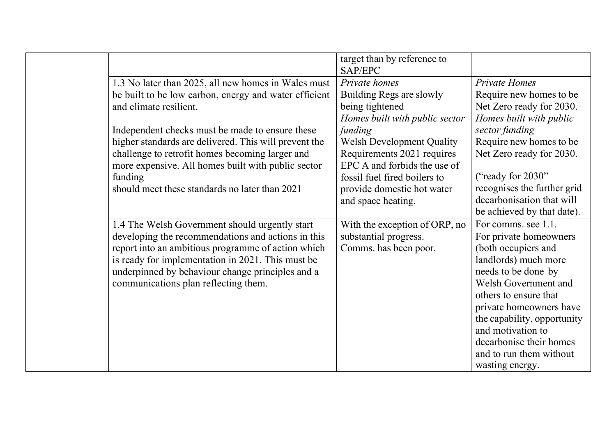|                                                       | target than by reference to<br>SAP/EPC |                             |
|-------------------------------------------------------|----------------------------------------|-----------------------------|
| 1.3 No later than 2025, all new homes in Wales must   | Private homes                          | <b>Private Homes</b>        |
| be built to be low carbon, energy and water efficient | Building Regs are slowly               | Require new homes to be     |
| and climate resilient.                                | being tightened                        | Net Zero ready for 2030.    |
|                                                       | Homes built with public sector         | Homes built with public     |
| Independent checks must be made to ensure these       | funding                                | sector funding              |
| higher standards are delivered. This will prevent the | <b>Welsh Development Quality</b>       | Require new homes to be     |
| challenge to retrofit homes becoming larger and       | Requirements 2021 requires             | Net Zero ready for 2030.    |
| more expensive. All homes built with public sector    | EPC A and forbids the use of           |                             |
| funding                                               | fossil fuel fired boilers to           | ("ready for 2030")          |
| should meet these standards no later than 2021        | provide domestic hot water             | recognises the further grid |
|                                                       | and space heating.                     | decarbonisation that will   |
|                                                       |                                        | be achieved by that date).  |
| 1.4 The Welsh Government should urgently start        | With the exception of ORP, no          | For comms. see 1.1.         |
| developing the recommendations and actions in this    | substantial progress.                  | For private homeowners      |
| report into an ambitious programme of action which    | Comms. has been poor.                  | (both occupiers and         |
| is ready for implementation in 2021. This must be     |                                        | landlords) much more        |
| underpinned by behaviour change principles and a      |                                        | needs to be done by         |
| communications plan reflecting them.                  |                                        | Welsh Government and        |
|                                                       |                                        | others to ensure that       |
|                                                       |                                        | private homeowners have     |
|                                                       |                                        | the capability, opportunity |
|                                                       |                                        | and motivation to           |
|                                                       |                                        | decarbonise their homes     |
|                                                       |                                        | and to run them without     |
|                                                       |                                        | wasting energy.             |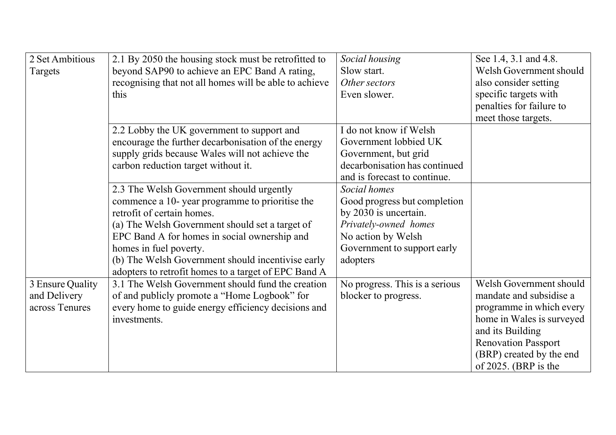| 2 Set Ambitious  | 2.1 By 2050 the housing stock must be retrofitted to   | Social housing                 | See 1.4, 3.1 and 4.8.      |
|------------------|--------------------------------------------------------|--------------------------------|----------------------------|
| Targets          | beyond SAP90 to achieve an EPC Band A rating,          | Slow start.                    | Welsh Government should    |
|                  | recognising that not all homes will be able to achieve | Other sectors                  | also consider setting      |
|                  | this                                                   | Even slower.                   | specific targets with      |
|                  |                                                        |                                | penalties for failure to   |
|                  |                                                        |                                | meet those targets.        |
|                  | 2.2 Lobby the UK government to support and             | I do not know if Welsh         |                            |
|                  | encourage the further decarbonisation of the energy    | Government lobbied UK          |                            |
|                  | supply grids because Wales will not achieve the        | Government, but grid           |                            |
|                  | carbon reduction target without it.                    | decarbonisation has continued  |                            |
|                  |                                                        | and is forecast to continue.   |                            |
|                  | 2.3 The Welsh Government should urgently               | Social homes                   |                            |
|                  | commence a 10-year programme to prioritise the         | Good progress but completion   |                            |
|                  | retrofit of certain homes.                             | by 2030 is uncertain.          |                            |
|                  | (a) The Welsh Government should set a target of        | Privately-owned homes          |                            |
|                  | EPC Band A for homes in social ownership and           | No action by Welsh             |                            |
|                  | homes in fuel poverty.                                 | Government to support early    |                            |
|                  | (b) The Welsh Government should incentivise early      | adopters                       |                            |
|                  | adopters to retrofit homes to a target of EPC Band A   |                                |                            |
| 3 Ensure Quality | 3.1 The Welsh Government should fund the creation      | No progress. This is a serious | Welsh Government should    |
| and Delivery     | of and publicly promote a "Home Logbook" for           | blocker to progress.           | mandate and subsidise a    |
| across Tenures   | every home to guide energy efficiency decisions and    |                                | programme in which every   |
|                  | investments.                                           |                                | home in Wales is surveyed  |
|                  |                                                        |                                | and its Building           |
|                  |                                                        |                                | <b>Renovation Passport</b> |
|                  |                                                        |                                | (BRP) created by the end   |
|                  |                                                        |                                | of 2025. (BRP is the       |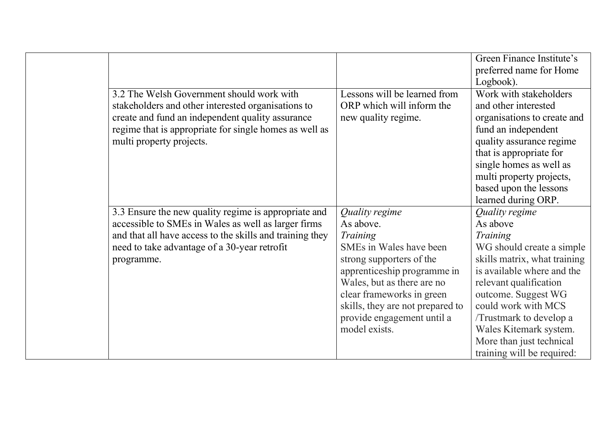|                                                          |                                  | Green Finance Institute's    |
|----------------------------------------------------------|----------------------------------|------------------------------|
|                                                          |                                  | preferred name for Home      |
|                                                          |                                  | Logbook).                    |
| 3.2 The Welsh Government should work with                | Lessons will be learned from     | Work with stakeholders       |
| stakeholders and other interested organisations to       | ORP which will inform the        | and other interested         |
| create and fund an independent quality assurance         | new quality regime.              | organisations to create and  |
| regime that is appropriate for single homes as well as   |                                  | fund an independent          |
| multi property projects.                                 |                                  | quality assurance regime     |
|                                                          |                                  | that is appropriate for      |
|                                                          |                                  | single homes as well as      |
|                                                          |                                  | multi property projects,     |
|                                                          |                                  | based upon the lessons       |
|                                                          |                                  | learned during ORP.          |
| 3.3 Ensure the new quality regime is appropriate and     | Quality regime                   | Quality regime               |
| accessible to SMEs in Wales as well as larger firms      | As above.                        | As above                     |
| and that all have access to the skills and training they | Training                         | Training                     |
| need to take advantage of a 30-year retrofit             | SMEs in Wales have been          | WG should create a simple    |
| programme.                                               | strong supporters of the         | skills matrix, what training |
|                                                          | apprenticeship programme in      | is available where and the   |
|                                                          | Wales, but as there are no       | relevant qualification       |
|                                                          | clear frameworks in green        | outcome. Suggest WG          |
|                                                          | skills, they are not prepared to | could work with MCS          |
|                                                          | provide engagement until a       | /Trustmark to develop a      |
|                                                          | model exists.                    | Wales Kitemark system.       |
|                                                          |                                  | More than just technical     |
|                                                          |                                  | training will be required:   |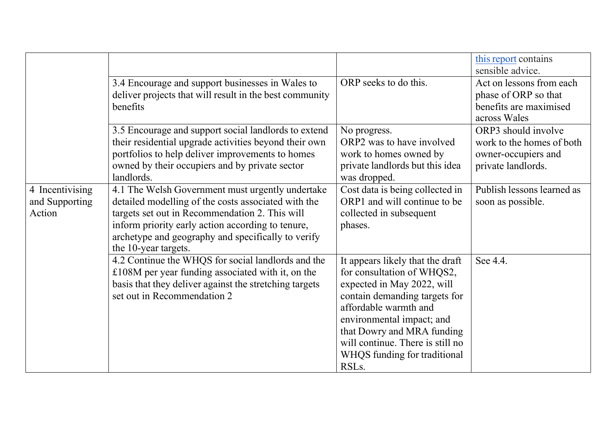|                                             |                                                                                                                                                                                                                                                                                              |                                                                                                                                                                                                                                                                                                             | this report contains<br>sensible advice.                                                      |
|---------------------------------------------|----------------------------------------------------------------------------------------------------------------------------------------------------------------------------------------------------------------------------------------------------------------------------------------------|-------------------------------------------------------------------------------------------------------------------------------------------------------------------------------------------------------------------------------------------------------------------------------------------------------------|-----------------------------------------------------------------------------------------------|
|                                             | 3.4 Encourage and support businesses in Wales to<br>deliver projects that will result in the best community<br>benefits                                                                                                                                                                      | ORP seeks to do this.                                                                                                                                                                                                                                                                                       | Act on lessons from each<br>phase of ORP so that<br>benefits are maximised<br>across Wales    |
|                                             | 3.5 Encourage and support social landlords to extend<br>their residential upgrade activities beyond their own<br>portfolios to help deliver improvements to homes<br>owned by their occupiers and by private sector<br>landlords.                                                            | No progress.<br>ORP2 was to have involved<br>work to homes owned by<br>private landlords but this idea<br>was dropped.                                                                                                                                                                                      | ORP3 should involve<br>work to the homes of both<br>owner-occupiers and<br>private landlords. |
| 4 Incentivising<br>and Supporting<br>Action | 4.1 The Welsh Government must urgently undertake<br>detailed modelling of the costs associated with the<br>targets set out in Recommendation 2. This will<br>inform priority early action according to tenure,<br>archetype and geography and specifically to verify<br>the 10-year targets. | Cost data is being collected in<br>ORP1 and will continue to be<br>collected in subsequent<br>phases.                                                                                                                                                                                                       | Publish lessons learned as<br>soon as possible.                                               |
|                                             | 4.2 Continue the WHQS for social landlords and the<br>£108M per year funding associated with it, on the<br>basis that they deliver against the stretching targets<br>set out in Recommendation 2                                                                                             | It appears likely that the draft<br>for consultation of WHQS2,<br>expected in May 2022, will<br>contain demanding targets for<br>affordable warmth and<br>environmental impact; and<br>that Dowry and MRA funding<br>will continue. There is still no<br>WHQS funding for traditional<br>RSL <sub>s</sub> . | See 4.4.                                                                                      |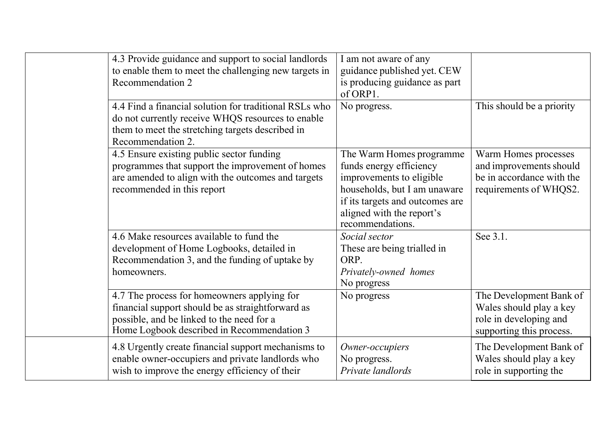| 4.3 Provide guidance and support to social landlords<br>to enable them to meet the challenging new targets in<br>Recommendation 2                                                           | I am not aware of any<br>guidance published yet. CEW<br>is producing guidance as part<br>of ORP1.                                                                                                   |                                                                                                          |
|---------------------------------------------------------------------------------------------------------------------------------------------------------------------------------------------|-----------------------------------------------------------------------------------------------------------------------------------------------------------------------------------------------------|----------------------------------------------------------------------------------------------------------|
| 4.4 Find a financial solution for traditional RSLs who<br>do not currently receive WHQS resources to enable<br>them to meet the stretching targets described in<br>Recommendation 2.        | No progress.                                                                                                                                                                                        | This should be a priority                                                                                |
| 4.5 Ensure existing public sector funding<br>programmes that support the improvement of homes<br>are amended to align with the outcomes and targets<br>recommended in this report           | The Warm Homes programme<br>funds energy efficiency<br>improvements to eligible<br>households, but I am unaware<br>if its targets and outcomes are<br>aligned with the report's<br>recommendations. | Warm Homes processes<br>and improvements should<br>be in accordance with the<br>requirements of WHQS2.   |
| 4.6 Make resources available to fund the<br>development of Home Logbooks, detailed in<br>Recommendation 3, and the funding of uptake by<br>homeowners.                                      | Social sector<br>These are being trialled in<br>ORP.<br>Privately-owned homes<br>No progress                                                                                                        | See 3.1.                                                                                                 |
| 4.7 The process for homeowners applying for<br>financial support should be as straightforward as<br>possible, and be linked to the need for a<br>Home Logbook described in Recommendation 3 | No progress                                                                                                                                                                                         | The Development Bank of<br>Wales should play a key<br>role in developing and<br>supporting this process. |
| 4.8 Urgently create financial support mechanisms to<br>enable owner-occupiers and private landlords who<br>wish to improve the energy efficiency of their                                   | Owner-occupiers<br>No progress.<br>Private landlords                                                                                                                                                | The Development Bank of<br>Wales should play a key<br>role in supporting the                             |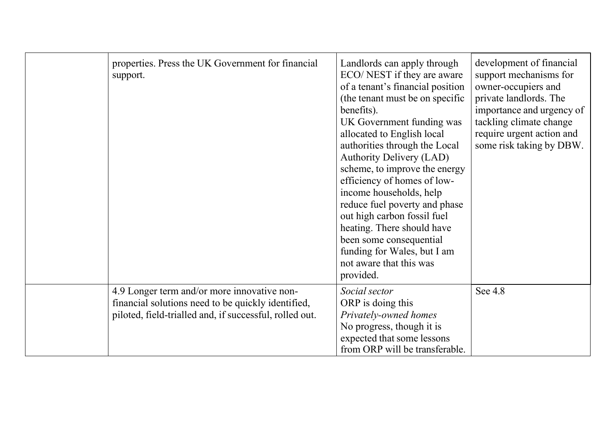| properties. Press the UK Government for financial<br>support.                                                                                                | Landlords can apply through<br>ECO/NEST if they are aware<br>of a tenant's financial position<br>(the tenant must be on specific<br>benefits).<br>UK Government funding was<br>allocated to English local<br>authorities through the Local<br><b>Authority Delivery (LAD)</b><br>scheme, to improve the energy<br>efficiency of homes of low-<br>income households, help<br>reduce fuel poverty and phase<br>out high carbon fossil fuel<br>heating. There should have<br>been some consequential<br>funding for Wales, but I am<br>not aware that this was<br>provided. | development of financial<br>support mechanisms for<br>owner-occupiers and<br>private landlords. The<br>importance and urgency of<br>tackling climate change<br>require urgent action and<br>some risk taking by DBW. |
|--------------------------------------------------------------------------------------------------------------------------------------------------------------|--------------------------------------------------------------------------------------------------------------------------------------------------------------------------------------------------------------------------------------------------------------------------------------------------------------------------------------------------------------------------------------------------------------------------------------------------------------------------------------------------------------------------------------------------------------------------|----------------------------------------------------------------------------------------------------------------------------------------------------------------------------------------------------------------------|
| 4.9 Longer term and/or more innovative non-<br>financial solutions need to be quickly identified,<br>piloted, field-trialled and, if successful, rolled out. | Social sector<br>ORP is doing this<br>Privately-owned homes<br>No progress, though it is<br>expected that some lessons<br>from ORP will be transferable.                                                                                                                                                                                                                                                                                                                                                                                                                 | See 4.8                                                                                                                                                                                                              |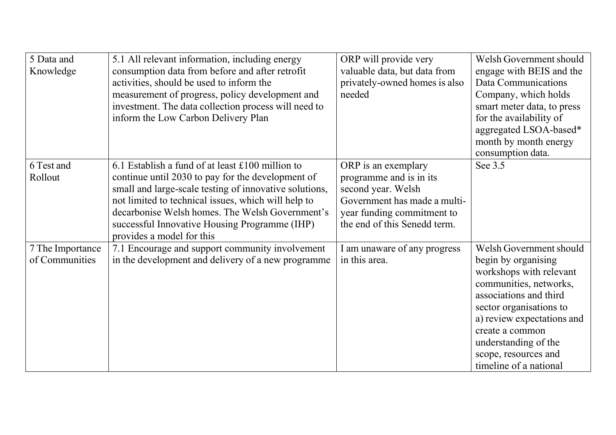| 5 Data and<br>Knowledge            | 5.1 All relevant information, including energy<br>consumption data from before and after retrofit<br>activities, should be used to inform the<br>measurement of progress, policy development and<br>investment. The data collection process will need to<br>inform the Low Carbon Delivery Plan                                                         | ORP will provide very<br>valuable data, but data from<br>privately-owned homes is also<br>needed                                                                   | Welsh Government should<br>engage with BEIS and the<br>Data Communications<br>Company, which holds<br>smart meter data, to press<br>for the availability of<br>aggregated LSOA-based*<br>month by month energy<br>consumption data.                                                 |
|------------------------------------|---------------------------------------------------------------------------------------------------------------------------------------------------------------------------------------------------------------------------------------------------------------------------------------------------------------------------------------------------------|--------------------------------------------------------------------------------------------------------------------------------------------------------------------|-------------------------------------------------------------------------------------------------------------------------------------------------------------------------------------------------------------------------------------------------------------------------------------|
| 6 Test and<br>Rollout              | 6.1 Establish a fund of at least £100 million to<br>continue until 2030 to pay for the development of<br>small and large-scale testing of innovative solutions,<br>not limited to technical issues, which will help to<br>decarbonise Welsh homes. The Welsh Government's<br>successful Innovative Housing Programme (IHP)<br>provides a model for this | ORP is an exemplary<br>programme and is in its<br>second year. Welsh<br>Government has made a multi-<br>year funding commitment to<br>the end of this Senedd term. | See 3.5                                                                                                                                                                                                                                                                             |
| 7 The Importance<br>of Communities | 7.1 Encourage and support community involvement<br>in the development and delivery of a new programme                                                                                                                                                                                                                                                   | I am unaware of any progress<br>in this area.                                                                                                                      | Welsh Government should<br>begin by organising<br>workshops with relevant<br>communities, networks,<br>associations and third<br>sector organisations to<br>a) review expectations and<br>create a common<br>understanding of the<br>scope, resources and<br>timeline of a national |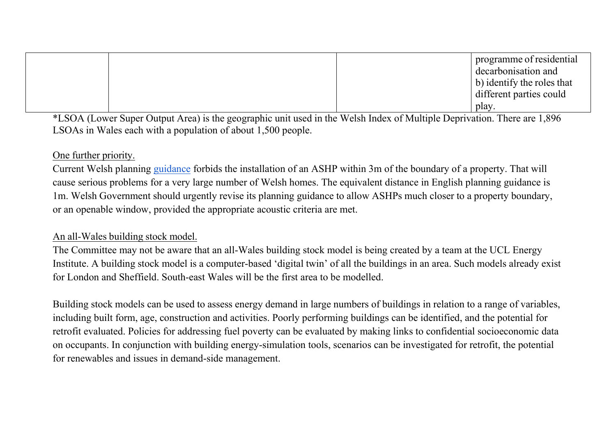|  | programme of residential           |  |
|--|------------------------------------|--|
|  | decarbonisation and                |  |
|  | $\vert$ b) identify the roles that |  |
|  | different parties could            |  |
|  | play.                              |  |

\*LSOA (Lower Super Output Area) is the geographic unit used in the Welsh Index of Multiple Deprivation. There are 1,896 LSOAs in Wales each with a population of about 1,500 people.

## One further priority.

Current Welsh planning guidance forbids the installation of an ASHP within 3m of the boundary of a property. That will cause serious problems for a very large number of Welsh homes. The equivalent distance in English planning guidance is 1m. Welsh Government should urgently revise its planning guidance to allow ASHPs much closer to a property boundary, or an openable window, provided the appropriate acoustic criteria are met.

## An all-Wales building stock model.

The Committee may not be aware that an all-Wales building stock model is being created by a team at the UCL Energy Institute. A building stock model is a computer-based 'digital twin' of all the buildings in an area. Such models already exist for London and Sheffield. South-east Wales will be the first area to be modelled.

Building stock models can be used to assess energy demand in large numbers of buildings in relation to a range of variables, including built form, age, construction and activities. Poorly performing buildings can be identified, and the potential for retrofit evaluated. Policies for addressing fuel poverty can be evaluated by making links to confidential socioeconomic data on occupants. In conjunction with building energy-simulation tools, scenarios can be investigated for retrofit, the potential for renewables and issues in demand-side management.